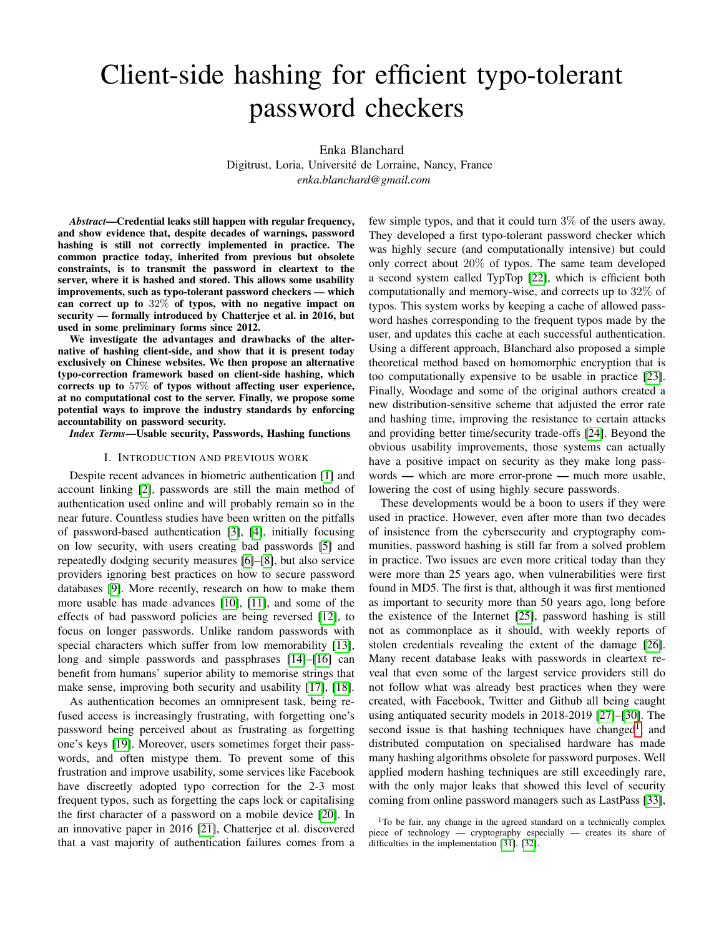# Client-side hashing for efficient typo-tolerant password checkers

Enka Blanchard

Digitrust, Loria, Université de Lorraine, Nancy, France *enka.blanchard@gmail.com*

*Abstract*—Credential leaks still happen with regular frequency, and show evidence that, despite decades of warnings, password hashing is still not correctly implemented in practice. The common practice today, inherited from previous but obsolete constraints, is to transmit the password in cleartext to the server, where it is hashed and stored. This allows some usability improvements, such as typo-tolerant password checkers — which can correct up to 32% of typos, with no negative impact on security — formally introduced by Chatterjee et al. in 2016, but used in some preliminary forms since 2012.

We investigate the advantages and drawbacks of the alternative of hashing client-side, and show that it is present today exclusively on Chinese websites. We then propose an alternative typo-correction framework based on client-side hashing, which corrects up to 57% of typos without affecting user experience, at no computational cost to the server. Finally, we propose some potential ways to improve the industry standards by enforcing accountability on password security.

*Index Terms*—Usable security, Passwords, Hashing functions

#### I. INTRODUCTION AND PREVIOUS WORK

Despite recent advances in biometric authentication [\[1\]](#page-11-0) and account linking [\[2\]](#page-11-1), passwords are still the main method of authentication used online and will probably remain so in the near future. Countless studies have been written on the pitfalls of password-based authentication [\[3\]](#page-11-2), [\[4\]](#page-11-3), initially focusing on low security, with users creating bad passwords [\[5\]](#page-11-4) and repeatedly dodging security measures [\[6\]](#page-11-5)–[\[8\]](#page-11-6), but also service providers ignoring best practices on how to secure password databases [\[9\]](#page-11-7). More recently, research on how to make them more usable has made advances [\[10\]](#page-11-8), [\[11\]](#page-11-9), and some of the effects of bad password policies are being reversed [\[12\]](#page-11-10), to focus on longer passwords. Unlike random passwords with special characters which suffer from low memorability [\[13\]](#page-11-11), long and simple passwords and passphrases [\[14\]](#page-11-12)–[\[16\]](#page-12-0) can benefit from humans' superior ability to memorise strings that make sense, improving both security and usability [\[17\]](#page-12-1), [\[18\]](#page-12-2).

As authentication becomes an omnipresent task, being refused access is increasingly frustrating, with forgetting one's password being perceived about as frustrating as forgetting one's keys [\[19\]](#page-12-3). Moreover, users sometimes forget their passwords, and often mistype them. To prevent some of this frustration and improve usability, some services like Facebook have discreetly adopted typo correction for the 2-3 most frequent typos, such as forgetting the caps lock or capitalising the first character of a password on a mobile device [\[20\]](#page-12-4). In an innovative paper in 2016 [\[21\]](#page-12-5), Chatterjee et al. discovered that a vast majority of authentication failures comes from a few simple typos, and that it could turn 3% of the users away. They developed a first typo-tolerant password checker which was highly secure (and computationally intensive) but could only correct about 20% of typos. The same team developed a second system called TypTop [\[22\]](#page-12-6), which is efficient both computationally and memory-wise, and corrects up to 32% of typos. This system works by keeping a cache of allowed password hashes corresponding to the frequent typos made by the user, and updates this cache at each successful authentication. Using a different approach, Blanchard also proposed a simple theoretical method based on homomorphic encryption that is too computationally expensive to be usable in practice [\[23\]](#page-12-7). Finally, Woodage and some of the original authors created a new distribution-sensitive scheme that adjusted the error rate and hashing time, improving the resistance to certain attacks and providing better time/security trade-offs [\[24\]](#page-12-8). Beyond the obvious usability improvements, those systems can actually have a positive impact on security as they make long passwords — which are more error-prone — much more usable, lowering the cost of using highly secure passwords.

These developments would be a boon to users if they were used in practice. However, even after more than two decades of insistence from the cybersecurity and cryptography communities, password hashing is still far from a solved problem in practice. Two issues are even more critical today than they were more than 25 years ago, when vulnerabilities were first found in MD5. The first is that, although it was first mentioned as important to security more than 50 years ago, long before the existence of the Internet [\[25\]](#page-12-9), password hashing is still not as commonplace as it should, with weekly reports of stolen credentials revealing the extent of the damage [\[26\]](#page-12-10). Many recent database leaks with passwords in cleartext reveal that even some of the largest service providers still do not follow what was already best practices when they were created, with Facebook, Twitter and Github all being caught using antiquated security models in 2018-2019 [\[27\]](#page-12-11)–[\[30\]](#page-12-12). The second issue is that hashing techniques have changed<sup>[1](#page-0-0)</sup>, and distributed computation on specialised hardware has made many hashing algorithms obsolete for password purposes. Well applied modern hashing techniques are still exceedingly rare, with the only major leaks that showed this level of security coming from online password managers such as LastPass [\[33\]](#page-12-13),

<span id="page-0-0"></span> $1$ To be fair, any change in the agreed standard on a technically complex piece of technology — cryptography especially — creates its share of difficulties in the implementation [\[31\]](#page-12-14), [\[32\]](#page-12-15).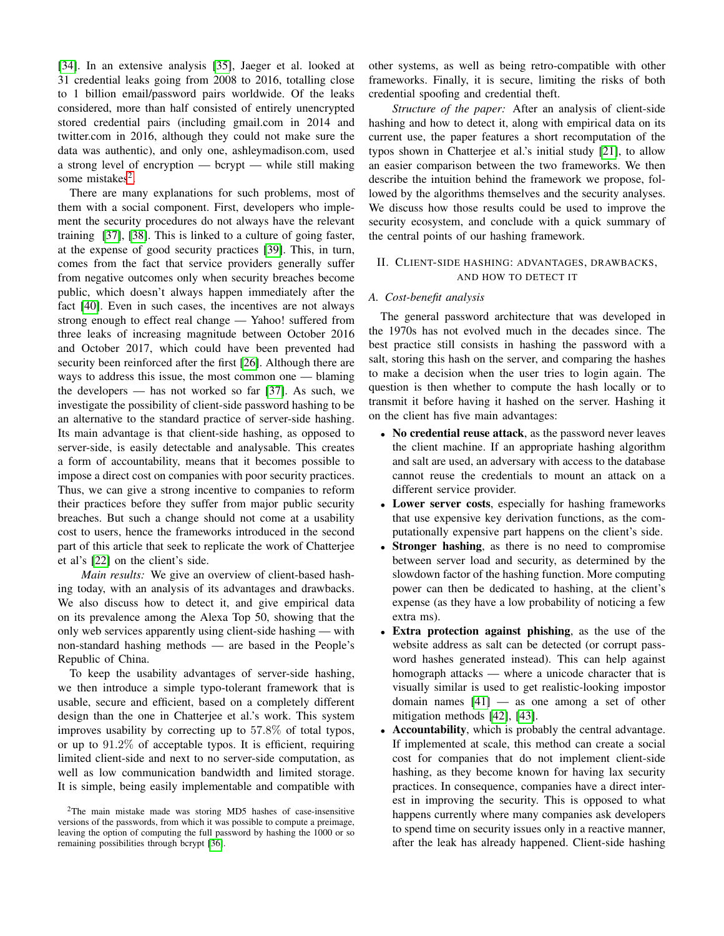[\[34\]](#page-12-16). In an extensive analysis [\[35\]](#page-12-17), Jaeger et al. looked at 31 credential leaks going from 2008 to 2016, totalling close to 1 billion email/password pairs worldwide. Of the leaks considered, more than half consisted of entirely unencrypted stored credential pairs (including gmail.com in 2014 and twitter.com in 2016, although they could not make sure the data was authentic), and only one, ashleymadison.com, used a strong level of encryption — bcrypt — while still making some mistakes<sup>[2](#page-1-0)</sup>.

There are many explanations for such problems, most of them with a social component. First, developers who implement the security procedures do not always have the relevant training [\[37\]](#page-12-18), [\[38\]](#page-12-19). This is linked to a culture of going faster, at the expense of good security practices [\[39\]](#page-12-20). This, in turn, comes from the fact that service providers generally suffer from negative outcomes only when security breaches become public, which doesn't always happen immediately after the fact [\[40\]](#page-12-21). Even in such cases, the incentives are not always strong enough to effect real change — Yahoo! suffered from three leaks of increasing magnitude between October 2016 and October 2017, which could have been prevented had security been reinforced after the first [\[26\]](#page-12-10). Although there are ways to address this issue, the most common one — blaming the developers — has not worked so far [\[37\]](#page-12-18). As such, we investigate the possibility of client-side password hashing to be an alternative to the standard practice of server-side hashing. Its main advantage is that client-side hashing, as opposed to server-side, is easily detectable and analysable. This creates a form of accountability, means that it becomes possible to impose a direct cost on companies with poor security practices. Thus, we can give a strong incentive to companies to reform their practices before they suffer from major public security breaches. But such a change should not come at a usability cost to users, hence the frameworks introduced in the second part of this article that seek to replicate the work of Chatterjee et al's [\[22\]](#page-12-6) on the client's side.

*Main results:* We give an overview of client-based hashing today, with an analysis of its advantages and drawbacks. We also discuss how to detect it, and give empirical data on its prevalence among the Alexa Top 50, showing that the only web services apparently using client-side hashing — with non-standard hashing methods — are based in the People's Republic of China.

To keep the usability advantages of server-side hashing, we then introduce a simple typo-tolerant framework that is usable, secure and efficient, based on a completely different design than the one in Chatterjee et al.'s work. This system improves usability by correcting up to 57.8% of total typos, or up to 91.2% of acceptable typos. It is efficient, requiring limited client-side and next to no server-side computation, as well as low communication bandwidth and limited storage. It is simple, being easily implementable and compatible with other systems, as well as being retro-compatible with other frameworks. Finally, it is secure, limiting the risks of both credential spoofing and credential theft.

*Structure of the paper:* After an analysis of client-side hashing and how to detect it, along with empirical data on its current use, the paper features a short recomputation of the typos shown in Chatterjee et al.'s initial study [\[21\]](#page-12-5), to allow an easier comparison between the two frameworks. We then describe the intuition behind the framework we propose, followed by the algorithms themselves and the security analyses. We discuss how those results could be used to improve the security ecosystem, and conclude with a quick summary of the central points of our hashing framework.

## II. CLIENT-SIDE HASHING: ADVANTAGES, DRAWBACKS, AND HOW TO DETECT IT

## *A. Cost-benefit analysis*

The general password architecture that was developed in the 1970s has not evolved much in the decades since. The best practice still consists in hashing the password with a salt, storing this hash on the server, and comparing the hashes to make a decision when the user tries to login again. The question is then whether to compute the hash locally or to transmit it before having it hashed on the server. Hashing it on the client has five main advantages:

- No credential reuse attack, as the password never leaves the client machine. If an appropriate hashing algorithm and salt are used, an adversary with access to the database cannot reuse the credentials to mount an attack on a different service provider.
- Lower server costs, especially for hashing frameworks that use expensive key derivation functions, as the computationally expensive part happens on the client's side.
- Stronger hashing, as there is no need to compromise between server load and security, as determined by the slowdown factor of the hashing function. More computing power can then be dedicated to hashing, at the client's expense (as they have a low probability of noticing a few extra ms).
- Extra protection against phishing, as the use of the website address as salt can be detected (or corrupt password hashes generated instead). This can help against homograph attacks — where a unicode character that is visually similar is used to get realistic-looking impostor domain names [\[41\]](#page-12-23) — as one among a set of other mitigation methods [\[42\]](#page-12-24), [\[43\]](#page-12-25).
- Accountability, which is probably the central advantage. If implemented at scale, this method can create a social cost for companies that do not implement client-side hashing, as they become known for having lax security practices. In consequence, companies have a direct interest in improving the security. This is opposed to what happens currently where many companies ask developers to spend time on security issues only in a reactive manner, after the leak has already happened. Client-side hashing

<span id="page-1-0"></span><sup>&</sup>lt;sup>2</sup>The main mistake made was storing MD5 hashes of case-insensitive versions of the passwords, from which it was possible to compute a preimage, leaving the option of computing the full password by hashing the 1000 or so remaining possibilities through bcrypt [\[36\]](#page-12-22).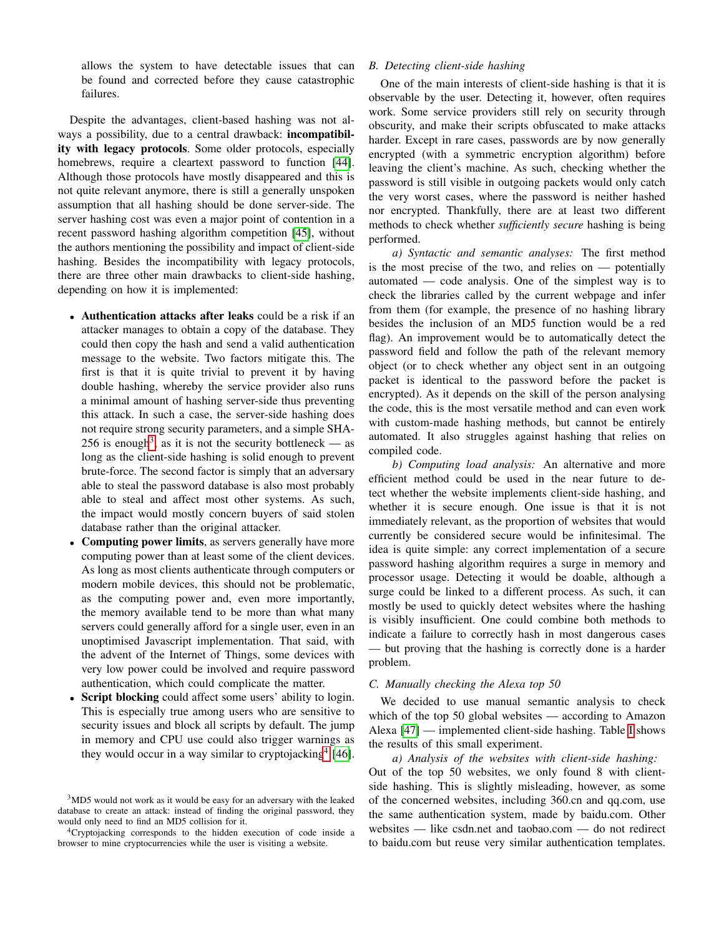allows the system to have detectable issues that can be found and corrected before they cause catastrophic failures.

Despite the advantages, client-based hashing was not always a possibility, due to a central drawback: incompatibility with legacy protocols. Some older protocols, especially homebrews, require a cleartext password to function [\[44\]](#page-12-26). Although those protocols have mostly disappeared and this is not quite relevant anymore, there is still a generally unspoken assumption that all hashing should be done server-side. The server hashing cost was even a major point of contention in a recent password hashing algorithm competition [\[45\]](#page-12-27), without the authors mentioning the possibility and impact of client-side hashing. Besides the incompatibility with legacy protocols, there are three other main drawbacks to client-side hashing, depending on how it is implemented:

- Authentication attacks after leaks could be a risk if an attacker manages to obtain a copy of the database. They could then copy the hash and send a valid authentication message to the website. Two factors mitigate this. The first is that it is quite trivial to prevent it by having double hashing, whereby the service provider also runs a minimal amount of hashing server-side thus preventing this attack. In such a case, the server-side hashing does not require strong security parameters, and a simple SHA-256 is enough<sup>[3](#page-2-0)</sup>, as it is not the security bottleneck — as long as the client-side hashing is solid enough to prevent brute-force. The second factor is simply that an adversary able to steal the password database is also most probably able to steal and affect most other systems. As such, the impact would mostly concern buyers of said stolen database rather than the original attacker.
- Computing power limits, as servers generally have more computing power than at least some of the client devices. As long as most clients authenticate through computers or modern mobile devices, this should not be problematic, as the computing power and, even more importantly, the memory available tend to be more than what many servers could generally afford for a single user, even in an unoptimised Javascript implementation. That said, with the advent of the Internet of Things, some devices with very low power could be involved and require password authentication, which could complicate the matter.
- Script blocking could affect some users' ability to login. This is especially true among users who are sensitive to security issues and block all scripts by default. The jump in memory and CPU use could also trigger warnings as they would occur in a way similar to cryptojacking<sup>[4](#page-2-1)</sup> [\[46\]](#page-12-28).

## *B. Detecting client-side hashing*

One of the main interests of client-side hashing is that it is observable by the user. Detecting it, however, often requires work. Some service providers still rely on security through obscurity, and make their scripts obfuscated to make attacks harder. Except in rare cases, passwords are by now generally encrypted (with a symmetric encryption algorithm) before leaving the client's machine. As such, checking whether the password is still visible in outgoing packets would only catch the very worst cases, where the password is neither hashed nor encrypted. Thankfully, there are at least two different methods to check whether *sufficiently secure* hashing is being performed.

*a) Syntactic and semantic analyses:* The first method is the most precise of the two, and relies on — potentially automated — code analysis. One of the simplest way is to check the libraries called by the current webpage and infer from them (for example, the presence of no hashing library besides the inclusion of an MD5 function would be a red flag). An improvement would be to automatically detect the password field and follow the path of the relevant memory object (or to check whether any object sent in an outgoing packet is identical to the password before the packet is encrypted). As it depends on the skill of the person analysing the code, this is the most versatile method and can even work with custom-made hashing methods, but cannot be entirely automated. It also struggles against hashing that relies on compiled code.

*b) Computing load analysis:* An alternative and more efficient method could be used in the near future to detect whether the website implements client-side hashing, and whether it is secure enough. One issue is that it is not immediately relevant, as the proportion of websites that would currently be considered secure would be infinitesimal. The idea is quite simple: any correct implementation of a secure password hashing algorithm requires a surge in memory and processor usage. Detecting it would be doable, although a surge could be linked to a different process. As such, it can mostly be used to quickly detect websites where the hashing is visibly insufficient. One could combine both methods to indicate a failure to correctly hash in most dangerous cases — but proving that the hashing is correctly done is a harder problem.

# *C. Manually checking the Alexa top 50*

We decided to use manual semantic analysis to check which of the top 50 global websites — according to Amazon Alexa [\[47\]](#page-12-29) — implemented client-side hashing. Table [I](#page-3-0) shows the results of this small experiment.

*a) Analysis of the websites with client-side hashing:* Out of the top 50 websites, we only found 8 with clientside hashing. This is slightly misleading, however, as some of the concerned websites, including 360.cn and qq.com, use the same authentication system, made by baidu.com. Other websites — like csdn.net and taobao.com — do not redirect to baidu.com but reuse very similar authentication templates.

<span id="page-2-0"></span><sup>&</sup>lt;sup>3</sup>MD5 would not work as it would be easy for an adversary with the leaked database to create an attack: instead of finding the original password, they would only need to find an MD5 collision for it.

<span id="page-2-1"></span><sup>4</sup>Cryptojacking corresponds to the hidden execution of code inside a browser to mine cryptocurrencies while the user is visiting a website.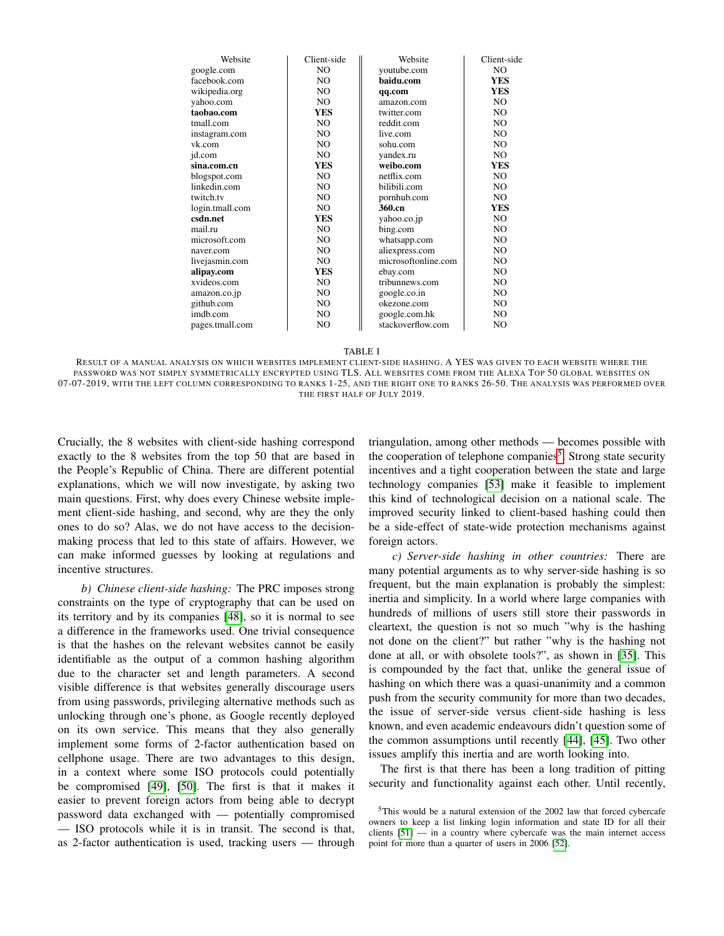| Website         | Client-side | Website             | Client-side    |
|-----------------|-------------|---------------------|----------------|
| google.com      | NO          | youtube.com         | N <sub>O</sub> |
| facebook.com    | NO.         | baidu.com           | YES            |
| wikipedia.org   | NO.         | qq.com              | <b>YES</b>     |
| yahoo.com       | NO.         | amazon.com          | NO             |
| taobao.com      | <b>YES</b>  | twitter.com         | NO.            |
| tmall.com       | NO.         | reddit.com          | NO.            |
| instagram.com   | NO.         | live.com            | NO.            |
| vk.com          | NO.         | sohu.com            | NO.            |
| jd.com          | NO.         | yandex.ru           | NO.            |
| sina.com.cn     | <b>YES</b>  | weibo.com           | <b>YES</b>     |
| blogspot.com    | NO.         | netflix.com         | N <sub>O</sub> |
| linkedin.com    | NO.         | bilibili.com        | N <sub>O</sub> |
| twitch.tv       | NO.         | pornhub.com         | NO.            |
| login.tmall.com | NO.         | 360.cn              | <b>YES</b>     |
| csdn.net        | <b>YES</b>  | yahoo.co.jp         | NO.            |
| mail.ru         | NO.         | bing.com            | NO.            |
| microsoft.com   | NO.         | whatsapp.com        | NO.            |
| naver.com       | NO.         | aliexpress.com      | NO.            |
| livejasmin.com  | NO.         | microsoftonline.com | NO.            |
| alipay.com      | <b>YES</b>  | ebay.com            | NO.            |
| xvideos.com     | NO.         | tribunnews.com      | NO.            |
| amazon.co.jp    | NO.         | google.co.in        | N <sub>O</sub> |
| github.com      | NO.         | okezone.com         | NO.            |
| imdb.com        | NO.         | google.com.hk       | N <sub>O</sub> |
| pages.tmall.com | NO          | stackoverflow.com   | N <sub>O</sub> |

TABLE I

<span id="page-3-0"></span>RESULT OF A MANUAL ANALYSIS ON WHICH WEBSITES IMPLEMENT CLIENT-SIDE HASHING. A YES WAS GIVEN TO EACH WEBSITE WHERE THE PASSWORD WAS NOT SIMPLY SYMMETRICALLY ENCRYPTED USING TLS. ALL WEBSITES COME FROM THE ALEXA TOP 50 GLOBAL WEBSITES ON 07-07-2019, WITH THE LEFT COLUMN CORRESPONDING TO RANKS 1-25, AND THE RIGHT ONE TO RANKS 26-50. THE ANALYSIS WAS PERFORMED OVER THE FIRST HALF OF JULY 2019.

Crucially, the 8 websites with client-side hashing correspond exactly to the 8 websites from the top 50 that are based in the People's Republic of China. There are different potential explanations, which we will now investigate, by asking two main questions. First, why does every Chinese website implement client-side hashing, and second, why are they the only ones to do so? Alas, we do not have access to the decisionmaking process that led to this state of affairs. However, we can make informed guesses by looking at regulations and incentive structures.

*b) Chinese client-side hashing:* The PRC imposes strong constraints on the type of cryptography that can be used on its territory and by its companies [\[48\]](#page-12-30), so it is normal to see a difference in the frameworks used. One trivial consequence is that the hashes on the relevant websites cannot be easily identifiable as the output of a common hashing algorithm due to the character set and length parameters. A second visible difference is that websites generally discourage users from using passwords, privileging alternative methods such as unlocking through one's phone, as Google recently deployed on its own service. This means that they also generally implement some forms of 2-factor authentication based on cellphone usage. There are two advantages to this design, in a context where some ISO protocols could potentially be compromised [\[49\]](#page-12-31), [\[50\]](#page-12-32). The first is that it makes it easier to prevent foreign actors from being able to decrypt password data exchanged with — potentially compromised — ISO protocols while it is in transit. The second is that, as 2-factor authentication is used, tracking users — through

triangulation, among other methods — becomes possible with the cooperation of telephone companies<sup>[5](#page-3-1)</sup>. Strong state security incentives and a tight cooperation between the state and large technology companies [\[53\]](#page-12-33) make it feasible to implement this kind of technological decision on a national scale. The improved security linked to client-based hashing could then be a side-effect of state-wide protection mechanisms against foreign actors.

*c) Server-side hashing in other countries:* There are many potential arguments as to why server-side hashing is so frequent, but the main explanation is probably the simplest: inertia and simplicity. In a world where large companies with hundreds of millions of users still store their passwords in cleartext, the question is not so much "why is the hashing not done on the client?" but rather "why is the hashing not done at all, or with obsolete tools?", as shown in [\[35\]](#page-12-17). This is compounded by the fact that, unlike the general issue of hashing on which there was a quasi-unanimity and a common push from the security community for more than two decades, the issue of server-side versus client-side hashing is less known, and even academic endeavours didn't question some of the common assumptions until recently [\[44\]](#page-12-26), [\[45\]](#page-12-27). Two other issues amplify this inertia and are worth looking into.

The first is that there has been a long tradition of pitting security and functionality against each other. Until recently,

<span id="page-3-1"></span><sup>5</sup>This would be a natural extension of the 2002 law that forced cybercafe owners to keep a list linking login information and state ID for all their clients [\[51\]](#page-12-34) — in a country where cybercafe was the main internet access point for more than a quarter of users in 2006 [\[52\]](#page-12-35).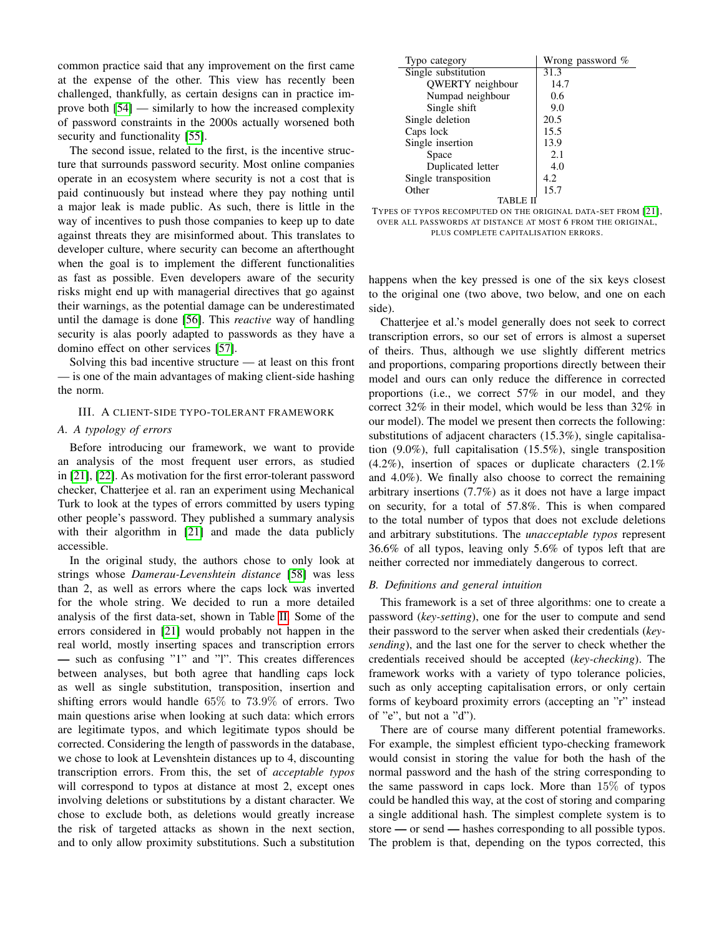common practice said that any improvement on the first came at the expense of the other. This view has recently been challenged, thankfully, as certain designs can in practice improve both [\[54\]](#page-12-36) — similarly to how the increased complexity of password constraints in the 2000s actually worsened both security and functionality [\[55\]](#page-12-37).

The second issue, related to the first, is the incentive structure that surrounds password security. Most online companies operate in an ecosystem where security is not a cost that is paid continuously but instead where they pay nothing until a major leak is made public. As such, there is little in the way of incentives to push those companies to keep up to date against threats they are misinformed about. This translates to developer culture, where security can become an afterthought when the goal is to implement the different functionalities as fast as possible. Even developers aware of the security risks might end up with managerial directives that go against their warnings, as the potential damage can be underestimated until the damage is done [\[56\]](#page-12-38). This *reactive* way of handling security is alas poorly adapted to passwords as they have a domino effect on other services [\[57\]](#page-12-39).

Solving this bad incentive structure — at least on this front — is one of the main advantages of making client-side hashing the norm.

#### III. A CLIENT-SIDE TYPO-TOLERANT FRAMEWORK

#### *A. A typology of errors*

Before introducing our framework, we want to provide an analysis of the most frequent user errors, as studied in [\[21\]](#page-12-5), [\[22\]](#page-12-6). As motivation for the first error-tolerant password checker, Chatterjee et al. ran an experiment using Mechanical Turk to look at the types of errors committed by users typing other people's password. They published a summary analysis with their algorithm in [\[21\]](#page-12-5) and made the data publicly accessible.

In the original study, the authors chose to only look at strings whose *Damerau-Levenshtein distance* [\[58\]](#page-12-40) was less than 2, as well as errors where the caps lock was inverted for the whole string. We decided to run a more detailed analysis of the first data-set, shown in Table [II.](#page-4-0) Some of the errors considered in [\[21\]](#page-12-5) would probably not happen in the real world, mostly inserting spaces and transcription errors — such as confusing "1" and "l". This creates differences between analyses, but both agree that handling caps lock as well as single substitution, transposition, insertion and shifting errors would handle 65% to 73.9% of errors. Two main questions arise when looking at such data: which errors are legitimate typos, and which legitimate typos should be corrected. Considering the length of passwords in the database, we chose to look at Levenshtein distances up to 4, discounting transcription errors. From this, the set of *acceptable typos* will correspond to typos at distance at most 2, except ones involving deletions or substitutions by a distant character. We chose to exclude both, as deletions would greatly increase the risk of targeted attacks as shown in the next section, and to only allow proximity substitutions. Such a substitution

| Typo category           | Wrong password $%$ |  |  |  |  |
|-------------------------|--------------------|--|--|--|--|
| Single substitution     | 31.3               |  |  |  |  |
| <b>QWERTY</b> neighbour | 14.7               |  |  |  |  |
| Numpad neighbour        | 0.6                |  |  |  |  |
| Single shift            | 9.0                |  |  |  |  |
| Single deletion         | 20.5               |  |  |  |  |
| Caps lock               | 15.5               |  |  |  |  |
| Single insertion        | 13.9               |  |  |  |  |
| Space                   | 2.1                |  |  |  |  |
| Duplicated letter       | 4.0                |  |  |  |  |
| Single transposition    | 4.2                |  |  |  |  |
| Other                   | 15.7               |  |  |  |  |
| <b>TABLE</b>            |                    |  |  |  |  |

<span id="page-4-0"></span>

happens when the key pressed is one of the six keys closest to the original one (two above, two below, and one on each side).

Chatterjee et al.'s model generally does not seek to correct transcription errors, so our set of errors is almost a superset of theirs. Thus, although we use slightly different metrics and proportions, comparing proportions directly between their model and ours can only reduce the difference in corrected proportions (i.e., we correct 57% in our model, and they correct 32% in their model, which would be less than 32% in our model). The model we present then corrects the following: substitutions of adjacent characters (15.3%), single capitalisation (9.0%), full capitalisation (15.5%), single transposition (4.2%), insertion of spaces or duplicate characters (2.1% and 4.0%). We finally also choose to correct the remaining arbitrary insertions (7.7%) as it does not have a large impact on security, for a total of 57.8%. This is when compared to the total number of typos that does not exclude deletions and arbitrary substitutions. The *unacceptable typos* represent 36.6% of all typos, leaving only 5.6% of typos left that are neither corrected nor immediately dangerous to correct.

## *B. Definitions and general intuition*

This framework is a set of three algorithms: one to create a password (*key-setting*), one for the user to compute and send their password to the server when asked their credentials (*keysending*), and the last one for the server to check whether the credentials received should be accepted (*key-checking*). The framework works with a variety of typo tolerance policies, such as only accepting capitalisation errors, or only certain forms of keyboard proximity errors (accepting an "r" instead of "e", but not a "d").

There are of course many different potential frameworks. For example, the simplest efficient typo-checking framework would consist in storing the value for both the hash of the normal password and the hash of the string corresponding to the same password in caps lock. More than 15% of typos could be handled this way, at the cost of storing and comparing a single additional hash. The simplest complete system is to store — or send — hashes corresponding to all possible typos. The problem is that, depending on the typos corrected, this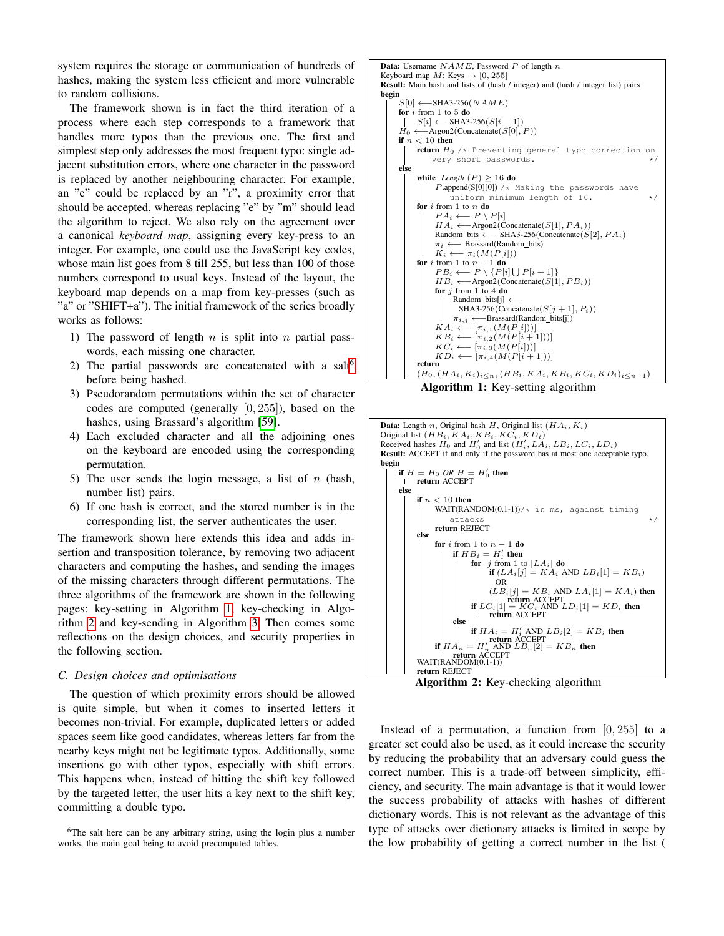system requires the storage or communication of hundreds of hashes, making the system less efficient and more vulnerable to random collisions.

The framework shown is in fact the third iteration of a process where each step corresponds to a framework that handles more typos than the previous one. The first and simplest step only addresses the most frequent typo: single adjacent substitution errors, where one character in the password is replaced by another neighbouring character. For example, an "e" could be replaced by an "r", a proximity error that should be accepted, whereas replacing "e" by "m" should lead the algorithm to reject. We also rely on the agreement over a canonical *keyboard map*, assigning every key-press to an integer. For example, one could use the JavaScript key codes, whose main list goes from 8 till 255, but less than 100 of those numbers correspond to usual keys. Instead of the layout, the keyboard map depends on a map from key-presses (such as "a" or "SHIFT+a"). The initial framework of the series broadly works as follows:

- 1) The password of length  $n$  is split into  $n$  partial passwords, each missing one character.
- 2) The partial passwords are concatenated with a salt<sup>[6](#page-5-0)</sup> before being hashed.
- 3) Pseudorandom permutations within the set of character codes are computed (generally  $[0, 255]$ ), based on the hashes, using Brassard's algorithm [\[59\]](#page-13-0).
- 4) Each excluded character and all the adjoining ones on the keyboard are encoded using the corresponding permutation.
- 5) The user sends the login message, a list of  $n$  (hash, number list) pairs.
- 6) If one hash is correct, and the stored number is in the corresponding list, the server authenticates the user.

The framework shown here extends this idea and adds insertion and transposition tolerance, by removing two adjacent characters and computing the hashes, and sending the images of the missing characters through different permutations. The three algorithms of the framework are shown in the following pages: key-setting in Algorithm [1,](#page-5-1) key-checking in Algorithm [2](#page-5-2) and key-sending in Algorithm [3.](#page-6-0) Then comes some reflections on the design choices, and security properties in the following section.

### *C. Design choices and optimisations*

The question of which proximity errors should be allowed is quite simple, but when it comes to inserted letters it becomes non-trivial. For example, duplicated letters or added spaces seem like good candidates, whereas letters far from the nearby keys might not be legitimate typos. Additionally, some insertions go with other typos, especially with shift errors. This happens when, instead of hitting the shift key followed by the targeted letter, the user hits a key next to the shift key, committing a double typo.

```
Data: Username NAME, Password P of length n
Keyboard map M: Keys \rightarrow [0, 255]
Result: Main hash and lists of (hash / integer) and (hash / integer list) pairs
begin
     S[0] \leftarrowSHA3-256(NAME)
     for i from 1 to 5 do
      \vert S[i] ← SHA3-256(S[i – 1])
     H_0 ← Argon2(Concatenate(S[0], P))
     if n < 10 then
          return H_0 /* Preventing general typo correction on
               very short passwords.
     else
          while Length (P) > 16 do
                P.append(S[0][0]) /* Making the passwords have
                    uniform minimum length of 16. */
          for i from 1 to n do
                PA_i \longleftarrow P \setminus P[i]HA_i \leftarrowArgon2(Concatenate(S[1], PA<sub>i</sub>))
                Random_bits ← SHA3-256(Concatenate(S[2], PA_i)
                \pi_i \longleftarrow Brassard(Random bits)
                K_i \longleftarrow \pi_i(M(P[i]))for i from 1 to n - 1 do
                PB_i \leftarrow P \setminus \{P[i] \bigcup P[i+1]\}HB_i \longleftarrow \text{Argon2}(\text{Concatenate}(S[1], PB_i))for j from 1 to 4 do<br>| Random_bits[j] ←
                       SHA3-256(Concatenate(S[j + 1], P_i))
                     \pi_{i,j} \longleftarrowBrassard(Random_bits[j])
                KA_i \longleftarrow [\pi_{i,1}(M(P[i]))]KB_i \longleftarrow [\pi_{i,2}(M(P[i+1]))]<br>
KC_i \longleftarrow [\pi_{i,3}(M(P[i]))]KD_i \longleftarrow [\pi_{i,4}(M(P[i+1]))]return
           (H_0, (HA_i, K_i)_{i \leq n}, (HB_i, KA_i, KB_i, KC_i, KD_i)_{i \leq n-1})Algorithm 1: Key-setting algorithm
```
<span id="page-5-1"></span>

<span id="page-5-2"></span>Algorithm 2: Key-checking algorithm

Instead of a permutation, a function from  $[0, 255]$  to a greater set could also be used, as it could increase the security by reducing the probability that an adversary could guess the correct number. This is a trade-off between simplicity, efficiency, and security. The main advantage is that it would lower the success probability of attacks with hashes of different dictionary words. This is not relevant as the advantage of this type of attacks over dictionary attacks is limited in scope by the low probability of getting a correct number in the list (

<span id="page-5-0"></span> $6$ The salt here can be any arbitrary string, using the login plus a number works, the main goal being to avoid precomputed tables.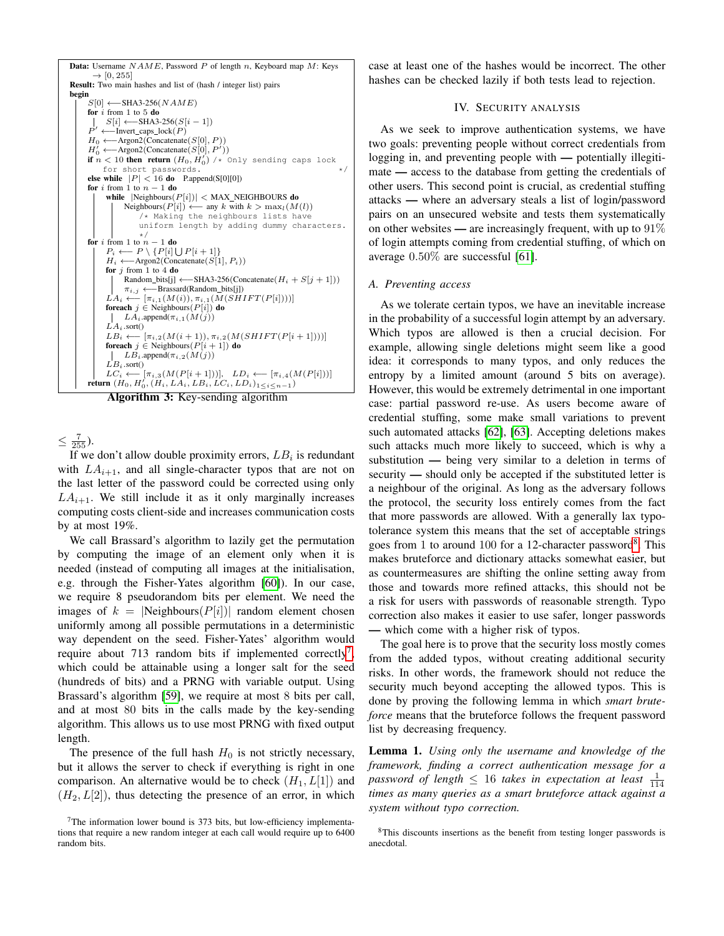

<span id="page-6-0"></span>Algorithm 3: Key-sending algorithm

 $\leq \frac{7}{255}$ ).

If we don't allow double proximity errors,  $LB<sub>i</sub>$  is redundant with  $LA_{i+1}$ , and all single-character typos that are not on the last letter of the password could be corrected using only  $LA_{i+1}$ . We still include it as it only marginally increases computing costs client-side and increases communication costs by at most 19%.

We call Brassard's algorithm to lazily get the permutation by computing the image of an element only when it is needed (instead of computing all images at the initialisation, e.g. through the Fisher-Yates algorithm [\[60\]](#page-13-1)). In our case, we require 8 pseudorandom bits per element. We need the images of  $k = |Neighbours(P[i])|$  random element chosen uniformly among all possible permutations in a deterministic way dependent on the seed. Fisher-Yates' algorithm would require about [7](#page-6-1)13 random bits if implemented correctly<sup>7</sup>, which could be attainable using a longer salt for the seed (hundreds of bits) and a PRNG with variable output. Using Brassard's algorithm [\[59\]](#page-13-0), we require at most 8 bits per call, and at most 80 bits in the calls made by the key-sending algorithm. This allows us to use most PRNG with fixed output length.

The presence of the full hash  $H_0$  is not strictly necessary, but it allows the server to check if everything is right in one comparison. An alternative would be to check  $(H_1, L[1])$  and  $(H_2, L[2])$ , thus detecting the presence of an error, in which case at least one of the hashes would be incorrect. The other hashes can be checked lazily if both tests lead to rejection.

## IV. SECURITY ANALYSIS

As we seek to improve authentication systems, we have two goals: preventing people without correct credentials from logging in, and preventing people with — potentially illegitimate — access to the database from getting the credentials of other users. This second point is crucial, as credential stuffing attacks — where an adversary steals a list of login/password pairs on an unsecured website and tests them systematically on other websites — are increasingly frequent, with up to  $91\%$ of login attempts coming from credential stuffing, of which on average 0.50% are successful [\[61\]](#page-13-2).

## *A. Preventing access*

As we tolerate certain typos, we have an inevitable increase in the probability of a successful login attempt by an adversary. Which typos are allowed is then a crucial decision. For example, allowing single deletions might seem like a good idea: it corresponds to many typos, and only reduces the entropy by a limited amount (around 5 bits on average). However, this would be extremely detrimental in one important case: partial password re-use. As users become aware of credential stuffing, some make small variations to prevent such automated attacks [\[62\]](#page-13-3), [\[63\]](#page-13-4). Accepting deletions makes such attacks much more likely to succeed, which is why a substitution — being very similar to a deletion in terms of security — should only be accepted if the substituted letter is a neighbour of the original. As long as the adversary follows the protocol, the security loss entirely comes from the fact that more passwords are allowed. With a generally lax typotolerance system this means that the set of acceptable strings goes from 1 to around 100 for a 12-character password<sup>[8](#page-6-2)</sup>. This makes bruteforce and dictionary attacks somewhat easier, but as countermeasures are shifting the online setting away from those and towards more refined attacks, this should not be a risk for users with passwords of reasonable strength. Typo correction also makes it easier to use safer, longer passwords — which come with a higher risk of typos.

The goal here is to prove that the security loss mostly comes from the added typos, without creating additional security risks. In other words, the framework should not reduce the security much beyond accepting the allowed typos. This is done by proving the following lemma in which *smart bruteforce* means that the bruteforce follows the frequent password list by decreasing frequency.

<span id="page-6-3"></span>Lemma 1. *Using only the username and knowledge of the framework, finding a correct authentication message for a*  $p$ assword of length  $\leq 16$  takes in expectation at least  $\frac{1}{114}$ *times as many queries as a smart bruteforce attack against a system without typo correction.*

<span id="page-6-1"></span> $7$ The information lower bound is 373 bits, but low-efficiency implementations that require a new random integer at each call would require up to 6400 random bits.

<span id="page-6-2"></span><sup>8</sup>This discounts insertions as the benefit from testing longer passwords is anecdotal.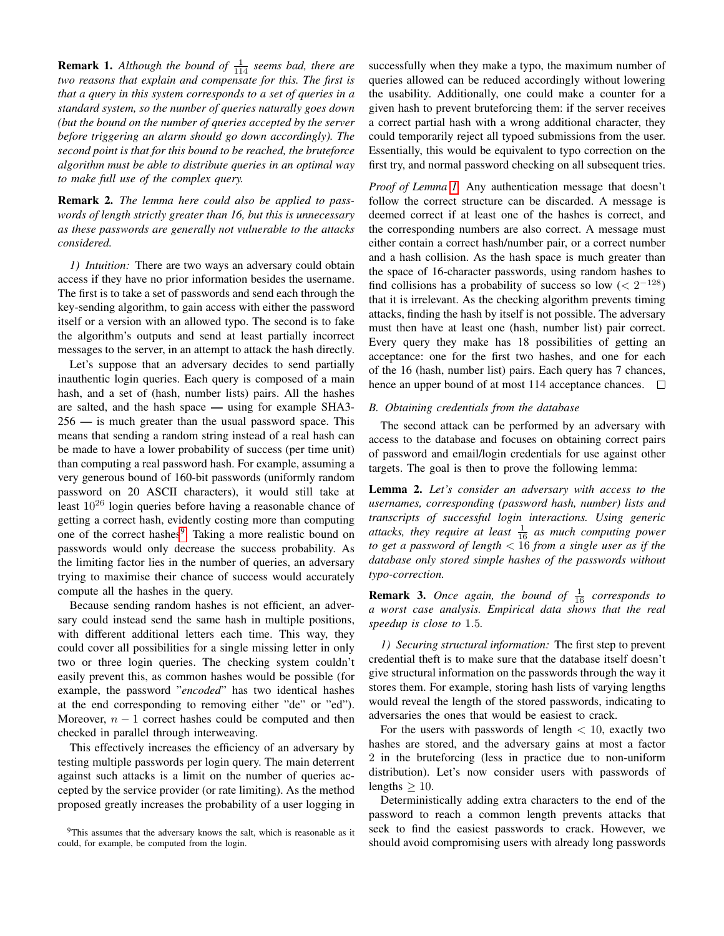**Remark 1.** Although the bound of  $\frac{1}{114}$  seems bad, there are *two reasons that explain and compensate for this. The first is that a query in this system corresponds to a set of queries in a standard system, so the number of queries naturally goes down (but the bound on the number of queries accepted by the server before triggering an alarm should go down accordingly). The second point is that for this bound to be reached, the bruteforce algorithm must be able to distribute queries in an optimal way to make full use of the complex query.*

Remark 2. *The lemma here could also be applied to passwords of length strictly greater than 16, but this is unnecessary as these passwords are generally not vulnerable to the attacks considered.*

*1) Intuition:* There are two ways an adversary could obtain access if they have no prior information besides the username. The first is to take a set of passwords and send each through the key-sending algorithm, to gain access with either the password itself or a version with an allowed typo. The second is to fake the algorithm's outputs and send at least partially incorrect messages to the server, in an attempt to attack the hash directly.

Let's suppose that an adversary decides to send partially inauthentic login queries. Each query is composed of a main hash, and a set of (hash, number lists) pairs. All the hashes are salted, and the hash space — using for example SHA3- 256 — is much greater than the usual password space. This means that sending a random string instead of a real hash can be made to have a lower probability of success (per time unit) than computing a real password hash. For example, assuming a very generous bound of 160-bit passwords (uniformly random password on 20 ASCII characters), it would still take at least  $10^{26}$  login queries before having a reasonable chance of getting a correct hash, evidently costing more than computing one of the correct hashes<sup>[9](#page-7-0)</sup>. Taking a more realistic bound on passwords would only decrease the success probability. As the limiting factor lies in the number of queries, an adversary trying to maximise their chance of success would accurately compute all the hashes in the query.

Because sending random hashes is not efficient, an adversary could instead send the same hash in multiple positions, with different additional letters each time. This way, they could cover all possibilities for a single missing letter in only two or three login queries. The checking system couldn't easily prevent this, as common hashes would be possible (for example, the password "*encoded*" has two identical hashes at the end corresponding to removing either "de" or "ed"). Moreover,  $n - 1$  correct hashes could be computed and then checked in parallel through interweaving.

This effectively increases the efficiency of an adversary by testing multiple passwords per login query. The main deterrent against such attacks is a limit on the number of queries accepted by the service provider (or rate limiting). As the method proposed greatly increases the probability of a user logging in successfully when they make a typo, the maximum number of queries allowed can be reduced accordingly without lowering the usability. Additionally, one could make a counter for a given hash to prevent bruteforcing them: if the server receives a correct partial hash with a wrong additional character, they could temporarily reject all typoed submissions from the user. Essentially, this would be equivalent to typo correction on the first try, and normal password checking on all subsequent tries.

*Proof of Lemma [1.](#page-6-3)* Any authentication message that doesn't follow the correct structure can be discarded. A message is deemed correct if at least one of the hashes is correct, and the corresponding numbers are also correct. A message must either contain a correct hash/number pair, or a correct number and a hash collision. As the hash space is much greater than the space of 16-character passwords, using random hashes to find collisions has a probability of success so low  $(< 2^{-128})$ that it is irrelevant. As the checking algorithm prevents timing attacks, finding the hash by itself is not possible. The adversary must then have at least one (hash, number list) pair correct. Every query they make has 18 possibilities of getting an acceptance: one for the first two hashes, and one for each of the 16 (hash, number list) pairs. Each query has 7 chances, hence an upper bound of at most 114 acceptance chances.  $\Box$ 

## *B. Obtaining credentials from the database*

The second attack can be performed by an adversary with access to the database and focuses on obtaining correct pairs of password and email/login credentials for use against other targets. The goal is then to prove the following lemma:

<span id="page-7-1"></span>Lemma 2. *Let's consider an adversary with access to the usernames, corresponding (password hash, number) lists and transcripts of successful login interactions. Using generic attacks, they require at least* <sup>1</sup> <sup>16</sup> *as much computing power to get a password of length* < 16 *from a single user as if the database only stored simple hashes of the passwords without typo-correction.*

**Remark 3.** Once again, the bound of  $\frac{1}{16}$  corresponds to *a worst case analysis. Empirical data shows that the real speedup is close to* 1.5*.*

*1) Securing structural information:* The first step to prevent credential theft is to make sure that the database itself doesn't give structural information on the passwords through the way it stores them. For example, storing hash lists of varying lengths would reveal the length of the stored passwords, indicating to adversaries the ones that would be easiest to crack.

For the users with passwords of length  $< 10$ , exactly two hashes are stored, and the adversary gains at most a factor 2 in the bruteforcing (less in practice due to non-uniform distribution). Let's now consider users with passwords of lengths  $\geq 10$ .

Deterministically adding extra characters to the end of the password to reach a common length prevents attacks that seek to find the easiest passwords to crack. However, we should avoid compromising users with already long passwords

<span id="page-7-0"></span><sup>&</sup>lt;sup>9</sup>This assumes that the adversary knows the salt, which is reasonable as it could, for example, be computed from the login.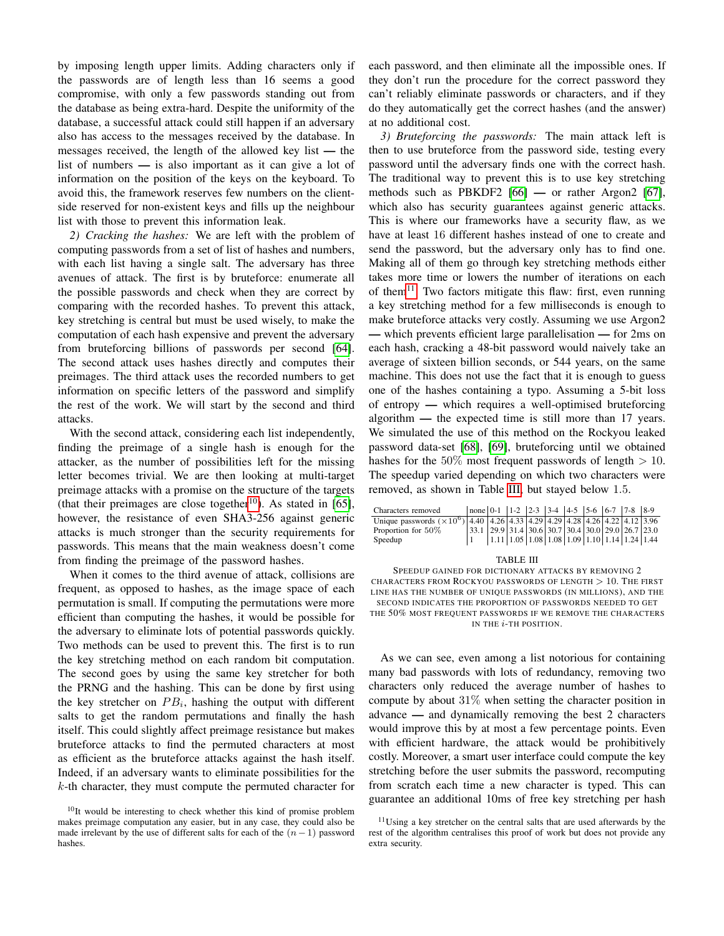by imposing length upper limits. Adding characters only if the passwords are of length less than 16 seems a good compromise, with only a few passwords standing out from the database as being extra-hard. Despite the uniformity of the database, a successful attack could still happen if an adversary also has access to the messages received by the database. In messages received, the length of the allowed key list — the list of numbers — is also important as it can give a lot of information on the position of the keys on the keyboard. To avoid this, the framework reserves few numbers on the clientside reserved for non-existent keys and fills up the neighbour list with those to prevent this information leak.

*2) Cracking the hashes:* We are left with the problem of computing passwords from a set of list of hashes and numbers, with each list having a single salt. The adversary has three avenues of attack. The first is by bruteforce: enumerate all the possible passwords and check when they are correct by comparing with the recorded hashes. To prevent this attack, key stretching is central but must be used wisely, to make the computation of each hash expensive and prevent the adversary from bruteforcing billions of passwords per second [\[64\]](#page-13-5). The second attack uses hashes directly and computes their preimages. The third attack uses the recorded numbers to get information on specific letters of the password and simplify the rest of the work. We will start by the second and third attacks.

With the second attack, considering each list independently, finding the preimage of a single hash is enough for the attacker, as the number of possibilities left for the missing letter becomes trivial. We are then looking at multi-target preimage attacks with a promise on the structure of the targets (that their preimages are close together<sup>[10](#page-8-0)</sup>). As stated in [\[65\]](#page-13-6), however, the resistance of even SHA3-256 against generic attacks is much stronger than the security requirements for passwords. This means that the main weakness doesn't come from finding the preimage of the password hashes.

When it comes to the third avenue of attack, collisions are frequent, as opposed to hashes, as the image space of each permutation is small. If computing the permutations were more efficient than computing the hashes, it would be possible for the adversary to eliminate lots of potential passwords quickly. Two methods can be used to prevent this. The first is to run the key stretching method on each random bit computation. The second goes by using the same key stretcher for both the PRNG and the hashing. This can be done by first using the key stretcher on  $PB_i$ , hashing the output with different salts to get the random permutations and finally the hash itself. This could slightly affect preimage resistance but makes bruteforce attacks to find the permuted characters at most as efficient as the bruteforce attacks against the hash itself. Indeed, if an adversary wants to eliminate possibilities for the k-th character, they must compute the permuted character for

each password, and then eliminate all the impossible ones. If they don't run the procedure for the correct password they can't reliably eliminate passwords or characters, and if they do they automatically get the correct hashes (and the answer) at no additional cost.

*3) Bruteforcing the passwords:* The main attack left is then to use bruteforce from the password side, testing every password until the adversary finds one with the correct hash. The traditional way to prevent this is to use key stretching methods such as PBKDF2 [\[66\]](#page-13-7) — or rather Argon2 [\[67\]](#page-13-8), which also has security guarantees against generic attacks. This is where our frameworks have a security flaw, as we have at least 16 different hashes instead of one to create and send the password, but the adversary only has to find one. Making all of them go through key stretching methods either takes more time or lowers the number of iterations on each of them<sup>[11](#page-8-1)</sup>. Two factors mitigate this flaw: first, even running a key stretching method for a few milliseconds is enough to make bruteforce attacks very costly. Assuming we use Argon2 — which prevents efficient large parallelisation — for 2ms on each hash, cracking a 48-bit password would naively take an average of sixteen billion seconds, or 544 years, on the same machine. This does not use the fact that it is enough to guess one of the hashes containing a typo. Assuming a 5-bit loss of entropy — which requires a well-optimised bruteforcing algorithm — the expected time is still more than 17 years. We simulated the use of this method on the Rockyou leaked password data-set [\[68\]](#page-13-9), [\[69\]](#page-13-10), bruteforcing until we obtained hashes for the 50% most frequent passwords of length  $> 10$ . The speedup varied depending on which two characters were removed, as shown in Table [III,](#page-8-2) but stayed below 1.5.

| Characters removed                                                                 | $ none 0-1 1-2 2-3 3-4 4-5 5-6 6-7 7-8 8-9$                                                                                                                                                                            |  |  |  |  |  |
|------------------------------------------------------------------------------------|------------------------------------------------------------------------------------------------------------------------------------------------------------------------------------------------------------------------|--|--|--|--|--|
| Unique passwords $(\times 10^6)$ 4.40 4.26 4.33 4.29 4.29 4.28 4.26 4.22 4.12 3.96 |                                                                                                                                                                                                                        |  |  |  |  |  |
| Proportion for 50%                                                                 | $\begin{array}{ l c c c c c c c c c c c } \hline 33.1 & 29.9 & 31.4 & 30.6 & 30.7 & 30.4 & 30.0 & 29.0 & 26.7 & 23.0 \\ \hline 1 & 1.11 & 1.05 & 1.08 & 1.08 & 1.09 & 1.10 & 1.14 & 1.24 & 1.44 \\ \hline \end{array}$ |  |  |  |  |  |
| Speedup                                                                            |                                                                                                                                                                                                                        |  |  |  |  |  |
|                                                                                    |                                                                                                                                                                                                                        |  |  |  |  |  |

<span id="page-8-2"></span>TABLE III SPEEDUP GAINED FOR DICTIONARY ATTACKS BY REMOVING 2 CHARACTERS FROM ROCKYOU PASSWORDS OF LENGTH > 10. THE FIRST LINE HAS THE NUMBER OF UNIQUE PASSWORDS (IN MILLIONS), AND THE SECOND INDICATES THE PROPORTION OF PASSWORDS NEEDED TO GET THE 50% MOST FREQUENT PASSWORDS IF WE REMOVE THE CHARACTERS IN THE i-TH POSITION.

As we can see, even among a list notorious for containing many bad passwords with lots of redundancy, removing two characters only reduced the average number of hashes to compute by about 31% when setting the character position in advance — and dynamically removing the best 2 characters would improve this by at most a few percentage points. Even with efficient hardware, the attack would be prohibitively costly. Moreover, a smart user interface could compute the key stretching before the user submits the password, recomputing from scratch each time a new character is typed. This can guarantee an additional 10ms of free key stretching per hash

<span id="page-8-0"></span> $10$ It would be interesting to check whether this kind of promise problem makes preimage computation any easier, but in any case, they could also be made irrelevant by the use of different salts for each of the  $(n - 1)$  password hashes.

<span id="page-8-1"></span> $11$ Using a key stretcher on the central salts that are used afterwards by the rest of the algorithm centralises this proof of work but does not provide any extra security.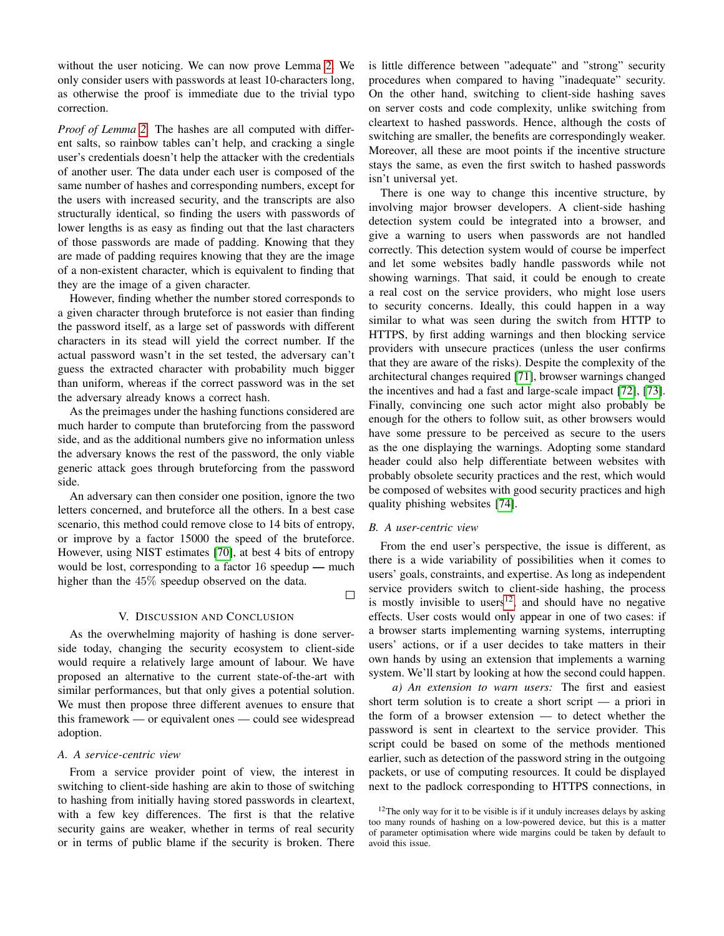without the user noticing. We can now prove Lemma [2.](#page-7-1) We only consider users with passwords at least 10-characters long, as otherwise the proof is immediate due to the trivial typo correction.

*Proof of Lemma [2.](#page-7-1)* The hashes are all computed with different salts, so rainbow tables can't help, and cracking a single user's credentials doesn't help the attacker with the credentials of another user. The data under each user is composed of the same number of hashes and corresponding numbers, except for the users with increased security, and the transcripts are also structurally identical, so finding the users with passwords of lower lengths is as easy as finding out that the last characters of those passwords are made of padding. Knowing that they are made of padding requires knowing that they are the image of a non-existent character, which is equivalent to finding that they are the image of a given character.

However, finding whether the number stored corresponds to a given character through bruteforce is not easier than finding the password itself, as a large set of passwords with different characters in its stead will yield the correct number. If the actual password wasn't in the set tested, the adversary can't guess the extracted character with probability much bigger than uniform, whereas if the correct password was in the set the adversary already knows a correct hash.

As the preimages under the hashing functions considered are much harder to compute than bruteforcing from the password side, and as the additional numbers give no information unless the adversary knows the rest of the password, the only viable generic attack goes through bruteforcing from the password side.

An adversary can then consider one position, ignore the two letters concerned, and bruteforce all the others. In a best case scenario, this method could remove close to 14 bits of entropy, or improve by a factor 15000 the speed of the bruteforce. However, using NIST estimates [\[70\]](#page-13-11), at best 4 bits of entropy would be lost, corresponding to a factor 16 speedup — much higher than the 45% speedup observed on the data.

 $\Box$ 

## V. DISCUSSION AND CONCLUSION

As the overwhelming majority of hashing is done serverside today, changing the security ecosystem to client-side would require a relatively large amount of labour. We have proposed an alternative to the current state-of-the-art with similar performances, but that only gives a potential solution. We must then propose three different avenues to ensure that this framework — or equivalent ones — could see widespread adoption.

## *A. A service-centric view*

From a service provider point of view, the interest in switching to client-side hashing are akin to those of switching to hashing from initially having stored passwords in cleartext, with a few key differences. The first is that the relative security gains are weaker, whether in terms of real security or in terms of public blame if the security is broken. There is little difference between "adequate" and "strong" security procedures when compared to having "inadequate" security. On the other hand, switching to client-side hashing saves on server costs and code complexity, unlike switching from cleartext to hashed passwords. Hence, although the costs of switching are smaller, the benefits are correspondingly weaker. Moreover, all these are moot points if the incentive structure stays the same, as even the first switch to hashed passwords isn't universal yet.

There is one way to change this incentive structure, by involving major browser developers. A client-side hashing detection system could be integrated into a browser, and give a warning to users when passwords are not handled correctly. This detection system would of course be imperfect and let some websites badly handle passwords while not showing warnings. That said, it could be enough to create a real cost on the service providers, who might lose users to security concerns. Ideally, this could happen in a way similar to what was seen during the switch from HTTP to HTTPS, by first adding warnings and then blocking service providers with unsecure practices (unless the user confirms that they are aware of the risks). Despite the complexity of the architectural changes required [\[71\]](#page-13-12), browser warnings changed the incentives and had a fast and large-scale impact [\[72\]](#page-13-13), [\[73\]](#page-13-14). Finally, convincing one such actor might also probably be enough for the others to follow suit, as other browsers would have some pressure to be perceived as secure to the users as the one displaying the warnings. Adopting some standard header could also help differentiate between websites with probably obsolete security practices and the rest, which would be composed of websites with good security practices and high quality phishing websites [\[74\]](#page-13-15).

#### *B. A user-centric view*

From the end user's perspective, the issue is different, as there is a wide variability of possibilities when it comes to users' goals, constraints, and expertise. As long as independent service providers switch to client-side hashing, the process is mostly invisible to users<sup>[12](#page-9-0)</sup>, and should have no negative effects. User costs would only appear in one of two cases: if a browser starts implementing warning systems, interrupting users' actions, or if a user decides to take matters in their own hands by using an extension that implements a warning system. We'll start by looking at how the second could happen.

*a) An extension to warn users:* The first and easiest short term solution is to create a short script — a priori in the form of a browser extension — to detect whether the password is sent in cleartext to the service provider. This script could be based on some of the methods mentioned earlier, such as detection of the password string in the outgoing packets, or use of computing resources. It could be displayed next to the padlock corresponding to HTTPS connections, in

<span id="page-9-0"></span> $12$ The only way for it to be visible is if it unduly increases delays by asking too many rounds of hashing on a low-powered device, but this is a matter of parameter optimisation where wide margins could be taken by default to avoid this issue.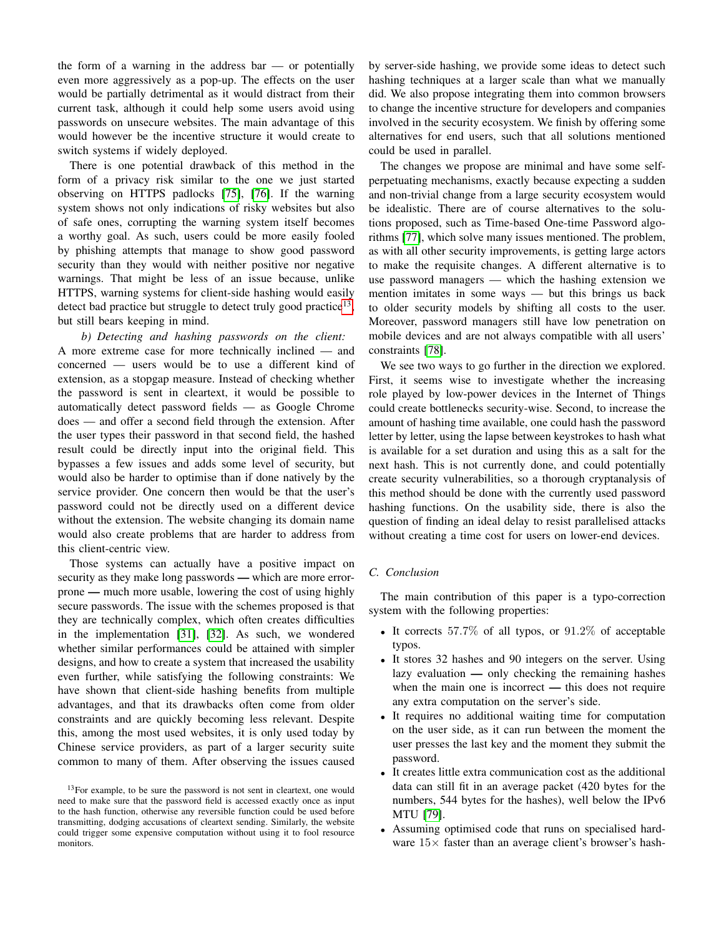the form of a warning in the address bar  $-$  or potentially even more aggressively as a pop-up. The effects on the user would be partially detrimental as it would distract from their current task, although it could help some users avoid using passwords on unsecure websites. The main advantage of this would however be the incentive structure it would create to switch systems if widely deployed.

There is one potential drawback of this method in the form of a privacy risk similar to the one we just started observing on HTTPS padlocks [\[75\]](#page-13-16), [\[76\]](#page-13-17). If the warning system shows not only indications of risky websites but also of safe ones, corrupting the warning system itself becomes a worthy goal. As such, users could be more easily fooled by phishing attempts that manage to show good password security than they would with neither positive nor negative warnings. That might be less of an issue because, unlike HTTPS, warning systems for client-side hashing would easily detect bad practice but struggle to detect truly good practice<sup>[13](#page-10-0)</sup>, but still bears keeping in mind.

*b) Detecting and hashing passwords on the client:* A more extreme case for more technically inclined — and concerned — users would be to use a different kind of extension, as a stopgap measure. Instead of checking whether the password is sent in cleartext, it would be possible to automatically detect password fields — as Google Chrome does — and offer a second field through the extension. After the user types their password in that second field, the hashed result could be directly input into the original field. This bypasses a few issues and adds some level of security, but would also be harder to optimise than if done natively by the service provider. One concern then would be that the user's password could not be directly used on a different device without the extension. The website changing its domain name would also create problems that are harder to address from this client-centric view.

Those systems can actually have a positive impact on security as they make long passwords — which are more errorprone — much more usable, lowering the cost of using highly secure passwords. The issue with the schemes proposed is that they are technically complex, which often creates difficulties in the implementation [\[31\]](#page-12-14), [\[32\]](#page-12-15). As such, we wondered whether similar performances could be attained with simpler designs, and how to create a system that increased the usability even further, while satisfying the following constraints: We have shown that client-side hashing benefits from multiple advantages, and that its drawbacks often come from older constraints and are quickly becoming less relevant. Despite this, among the most used websites, it is only used today by Chinese service providers, as part of a larger security suite common to many of them. After observing the issues caused

by server-side hashing, we provide some ideas to detect such hashing techniques at a larger scale than what we manually did. We also propose integrating them into common browsers to change the incentive structure for developers and companies involved in the security ecosystem. We finish by offering some alternatives for end users, such that all solutions mentioned could be used in parallel.

The changes we propose are minimal and have some selfperpetuating mechanisms, exactly because expecting a sudden and non-trivial change from a large security ecosystem would be idealistic. There are of course alternatives to the solutions proposed, such as Time-based One-time Password algorithms [\[77\]](#page-13-18), which solve many issues mentioned. The problem, as with all other security improvements, is getting large actors to make the requisite changes. A different alternative is to use password managers — which the hashing extension we mention imitates in some ways — but this brings us back to older security models by shifting all costs to the user. Moreover, password managers still have low penetration on mobile devices and are not always compatible with all users' constraints [\[78\]](#page-13-19).

We see two ways to go further in the direction we explored. First, it seems wise to investigate whether the increasing role played by low-power devices in the Internet of Things could create bottlenecks security-wise. Second, to increase the amount of hashing time available, one could hash the password letter by letter, using the lapse between keystrokes to hash what is available for a set duration and using this as a salt for the next hash. This is not currently done, and could potentially create security vulnerabilities, so a thorough cryptanalysis of this method should be done with the currently used password hashing functions. On the usability side, there is also the question of finding an ideal delay to resist parallelised attacks without creating a time cost for users on lower-end devices.

# *C. Conclusion*

The main contribution of this paper is a typo-correction system with the following properties:

- It corrects 57.7% of all typos, or 91.2% of acceptable typos.
- It stores 32 hashes and 90 integers on the server. Using lazy evaluation — only checking the remaining hashes when the main one is incorrect — this does not require any extra computation on the server's side.
- It requires no additional waiting time for computation on the user side, as it can run between the moment the user presses the last key and the moment they submit the password.
- It creates little extra communication cost as the additional data can still fit in an average packet (420 bytes for the numbers, 544 bytes for the hashes), well below the IPv6 MTU [\[79\]](#page-13-20).
- Assuming optimised code that runs on specialised hardware  $15\times$  faster than an average client's browser's hash-

<span id="page-10-0"></span> $13$ For example, to be sure the password is not sent in cleartext, one would need to make sure that the password field is accessed exactly once as input to the hash function, otherwise any reversible function could be used before transmitting, dodging accusations of cleartext sending. Similarly, the website could trigger some expensive computation without using it to fool resource monitors.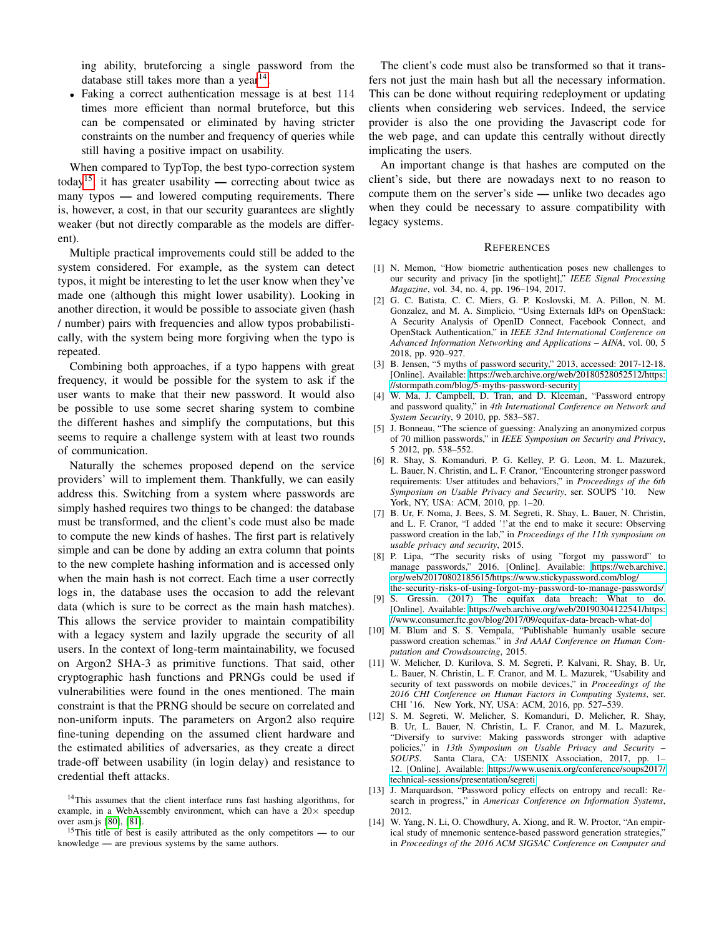ing ability, bruteforcing a single password from the database still takes more than a year $14$ .

• Faking a correct authentication message is at best 114 times more efficient than normal bruteforce, but this can be compensated or eliminated by having stricter constraints on the number and frequency of queries while still having a positive impact on usability.

When compared to TypTop, the best typo-correction system today<sup>[15](#page-11-14)</sup>, it has greater usability — correcting about twice as many typos — and lowered computing requirements. There is, however, a cost, in that our security guarantees are slightly weaker (but not directly comparable as the models are different).

Multiple practical improvements could still be added to the system considered. For example, as the system can detect typos, it might be interesting to let the user know when they've made one (although this might lower usability). Looking in another direction, it would be possible to associate given (hash / number) pairs with frequencies and allow typos probabilistically, with the system being more forgiving when the typo is repeated.

Combining both approaches, if a typo happens with great frequency, it would be possible for the system to ask if the user wants to make that their new password. It would also be possible to use some secret sharing system to combine the different hashes and simplify the computations, but this seems to require a challenge system with at least two rounds of communication.

Naturally the schemes proposed depend on the service providers' will to implement them. Thankfully, we can easily address this. Switching from a system where passwords are simply hashed requires two things to be changed: the database must be transformed, and the client's code must also be made to compute the new kinds of hashes. The first part is relatively simple and can be done by adding an extra column that points to the new complete hashing information and is accessed only when the main hash is not correct. Each time a user correctly logs in, the database uses the occasion to add the relevant data (which is sure to be correct as the main hash matches). This allows the service provider to maintain compatibility with a legacy system and lazily upgrade the security of all users. In the context of long-term maintainability, we focused on Argon2 SHA-3 as primitive functions. That said, other cryptographic hash functions and PRNGs could be used if vulnerabilities were found in the ones mentioned. The main constraint is that the PRNG should be secure on correlated and non-uniform inputs. The parameters on Argon2 also require fine-tuning depending on the assumed client hardware and the estimated abilities of adversaries, as they create a direct trade-off between usability (in login delay) and resistance to credential theft attacks.

The client's code must also be transformed so that it transfers not just the main hash but all the necessary information. This can be done without requiring redeployment or updating clients when considering web services. Indeed, the service provider is also the one providing the Javascript code for the web page, and can update this centrally without directly implicating the users.

An important change is that hashes are computed on the client's side, but there are nowadays next to no reason to compute them on the server's side — unlike two decades ago when they could be necessary to assure compatibility with legacy systems.

#### **REFERENCES**

- <span id="page-11-0"></span>[1] N. Memon, "How biometric authentication poses new challenges to our security and privacy [in the spotlight]," *IEEE Signal Processing Magazine*, vol. 34, no. 4, pp. 196–194, 2017.
- <span id="page-11-1"></span>[2] G. C. Batista, C. C. Miers, G. P. Koslovski, M. A. Pillon, N. M. Gonzalez, and M. A. Simplicio, "Using Externals IdPs on OpenStack: A Security Analysis of OpenID Connect, Facebook Connect, and OpenStack Authentication," in *IEEE 32nd International Conference on Advanced Information Networking and Applications – AINA*, vol. 00, 5 2018, pp. 920–927.
- <span id="page-11-2"></span>[3] B. Jensen, "5 myths of password security," 2013, accessed: 2017-12-18. [Online]. Available: [https://web.archive.org/web/20180528052512/https:](https://web.archive.org/web/20180528052512/https://stormpath.com/blog/5-myths-password-security) [//stormpath.com/blog/5-myths-password-security](https://web.archive.org/web/20180528052512/https://stormpath.com/blog/5-myths-password-security)
- <span id="page-11-3"></span>[4] W. Ma, J. Campbell, D. Tran, and D. Kleeman, "Password entropy and password quality," in *4th International Conference on Network and System Security*, 9 2010, pp. 583–587.
- <span id="page-11-4"></span>[5] J. Bonneau, "The science of guessing: Analyzing an anonymized corpus of 70 million passwords," in *IEEE Symposium on Security and Privacy*, 5 2012, pp. 538–552.
- <span id="page-11-5"></span>[6] R. Shay, S. Komanduri, P. G. Kelley, P. G. Leon, M. L. Mazurek, L. Bauer, N. Christin, and L. F. Cranor, "Encountering stronger password requirements: User attitudes and behaviors," in *Proceedings of the 6th Symposium on Usable Privacy and Security*, ser. SOUPS '10. New York, NY, USA: ACM, 2010, pp. 1–20.
- [7] B. Ur, F. Noma, J. Bees, S. M. Segreti, R. Shay, L. Bauer, N. Christin, and L. F. Cranor, "I added '!'at the end to make it secure: Observing password creation in the lab," in *Proceedings of the 11th symposium on usable privacy and security*, 2015.
- <span id="page-11-6"></span>[8] P. Lipa, "The security risks of using "forgot my password" to manage passwords," 2016. [Online]. Available: [https://web.archive.](https://web.archive.org/web/20170802185615/https://www.stickypassword.com/blog/the-security-risks-of-using-forgot-my-password-to-manage-passwords/) [org/web/20170802185615/https://www.stickypassword.com/blog/](https://web.archive.org/web/20170802185615/https://www.stickypassword.com/blog/the-security-risks-of-using-forgot-my-password-to-manage-passwords/) [the-security-risks-of-using-forgot-my-password-to-manage-passwords/](https://web.archive.org/web/20170802185615/https://www.stickypassword.com/blog/the-security-risks-of-using-forgot-my-password-to-manage-passwords/)
- <span id="page-11-7"></span>[9] S. Gressin. (2017) The equifax data breach: What to do. [Online]. Available: [https://web.archive.org/web/20190304122541/https:](https://web.archive.org/web/20190304122541/https://www.consumer.ftc.gov/blog/2017/09/equifax-data-breach-what-do) [//www.consumer.ftc.gov/blog/2017/09/equifax-data-breach-what-do](https://web.archive.org/web/20190304122541/https://www.consumer.ftc.gov/blog/2017/09/equifax-data-breach-what-do)
- <span id="page-11-8"></span>[10] M. Blum and S. S. Vempala, "Publishable humanly usable secure password creation schemas." in *3rd AAAI Conference on Human Computation and Crowdsourcing*, 2015.
- <span id="page-11-9"></span>[11] W. Melicher, D. Kurilova, S. M. Segreti, P. Kalvani, R. Shay, B. Ur, L. Bauer, N. Christin, L. F. Cranor, and M. L. Mazurek, "Usability and security of text passwords on mobile devices," in *Proceedings of the 2016 CHI Conference on Human Factors in Computing Systems*, ser. CHI '16. New York, NY, USA: ACM, 2016, pp. 527–539.
- <span id="page-11-10"></span>[12] S. M. Segreti, W. Melicher, S. Komanduri, D. Melicher, R. Shay, B. Ur, L. Bauer, N. Christin, L. F. Cranor, and M. L. Mazurek, "Diversify to survive: Making passwords stronger with adaptive policies," in *13th Symposium on Usable Privacy and Security –* Santa Clara, CA: USENIX Association, 2017, pp. 1-12. [Online]. Available: [https://www.usenix.org/conference/soups2017/](https://www.usenix.org/conference/soups2017/technical-sessions/presentation/segreti) [technical-sessions/presentation/segreti](https://www.usenix.org/conference/soups2017/technical-sessions/presentation/segreti)
- <span id="page-11-11"></span>[13] J. Marquardson, "Password policy effects on entropy and recall: Research in progress," in *Americas Conference on Information Systems*, 2012.
- <span id="page-11-12"></span>[14] W. Yang, N. Li, O. Chowdhury, A. Xiong, and R. W. Proctor, "An empirical study of mnemonic sentence-based password generation strategies," in *Proceedings of the 2016 ACM SIGSAC Conference on Computer and*

<span id="page-11-13"></span><sup>14</sup>This assumes that the client interface runs fast hashing algorithms, for example, in a WebAssembly environment, which can have a  $20\times$  speedup over asm.js [\[80\]](#page-13-21), [\[81\]](#page-13-22).

<span id="page-11-14"></span><sup>&</sup>lt;sup>15</sup>This title of best is easily attributed as the only competitors — to our knowledge — are previous systems by the same authors.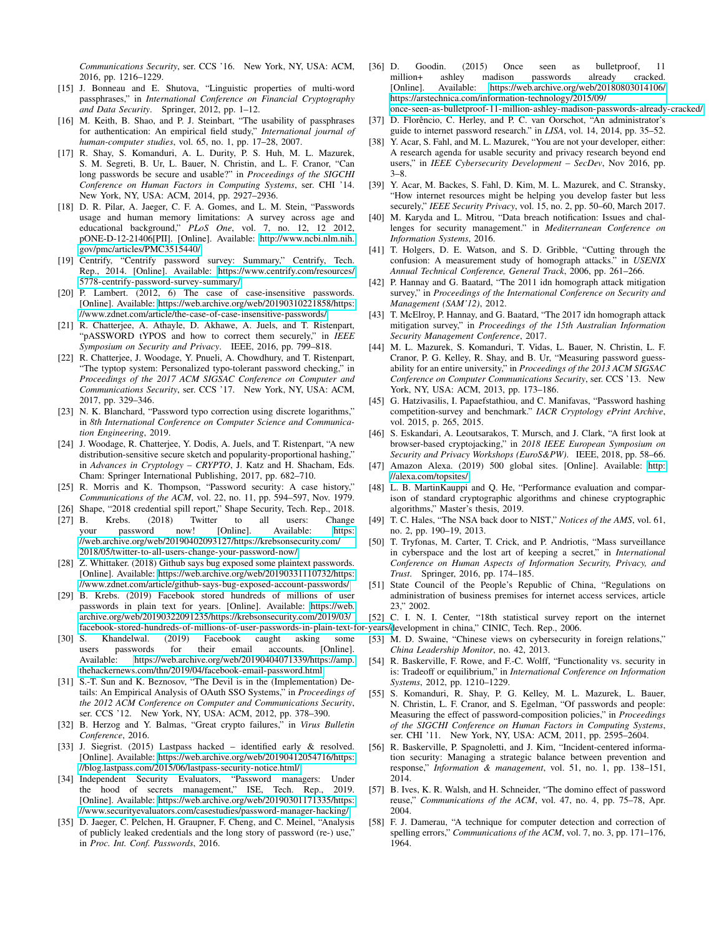*Communications Security*, ser. CCS '16. New York, NY, USA: ACM, 2016, pp. 1216–1229.

- [15] J. Bonneau and E. Shutova, "Linguistic properties of multi-word passphrases," in *International Conference on Financial Cryptography and Data Security*. Springer, 2012, pp. 1–12.
- <span id="page-12-0"></span>[16] M. Keith, B. Shao, and P. J. Steinbart, "The usability of passphrases for authentication: An empirical field study," *International journal of human-computer studies*, vol. 65, no. 1, pp. 17–28, 2007.
- <span id="page-12-1"></span>[17] R. Shay, S. Komanduri, A. L. Durity, P. S. Huh, M. L. Mazurek, S. M. Segreti, B. Ur, L. Bauer, N. Christin, and L. F. Cranor, "Can long passwords be secure and usable?" in *Proceedings of the SIGCHI Conference on Human Factors in Computing Systems*, ser. CHI '14. New York, NY, USA: ACM, 2014, pp. 2927–2936.
- <span id="page-12-2"></span>[18] D. R. Pilar, A. Jaeger, C. F. A. Gomes, and L. M. Stein, "Passwords usage and human memory limitations: A survey across age and educational background," *PLoS One*, vol. 7, no. 12, 12 2012, pONE-D-12-21406[PII]. [Online]. Available: [http://www.ncbi.nlm.nih.](http://www.ncbi.nlm.nih.gov/pmc/articles/PMC3515440/) [gov/pmc/articles/PMC3515440/](http://www.ncbi.nlm.nih.gov/pmc/articles/PMC3515440/)
- <span id="page-12-3"></span>[19] Centrify, "Centrify password survey: Summary," Centrify, Tech. Rep., 2014. [Online]. Available: [https://www.centrify.com/resources/](https://www.centrify.com/resources/5778-centrify-password-survey-summary/) [5778-centrify-password-survey-summary/](https://www.centrify.com/resources/5778-centrify-password-survey-summary/)
- <span id="page-12-4"></span>[20] P. Lambert. (2012, 6) The case of case-insensitive passwords. [Online]. Available: [https://web.archive.org/web/20190310221858/https:](https://web.archive.org/web/20190310221858/https://www.zdnet.com/article/the-case-of-case-insensitive-passwords/) [//www.zdnet.com/article/the-case-of-case-insensitive-passwords/](https://web.archive.org/web/20190310221858/https://www.zdnet.com/article/the-case-of-case-insensitive-passwords/)
- <span id="page-12-5"></span>[21] R. Chatterjee, A. Athayle, D. Akhawe, A. Juels, and T. Ristenpart, "pASSWORD tYPOS and how to correct them securely," in *IEEE Symposium on Security and Privacy*. IEEE, 2016, pp. 799–818.
- <span id="page-12-6"></span>[22] R. Chatterjee, J. Woodage, Y. Pnueli, A. Chowdhury, and T. Ristenpart, "The typtop system: Personalized typo-tolerant password checking," in *Proceedings of the 2017 ACM SIGSAC Conference on Computer and Communications Security*, ser. CCS '17. New York, NY, USA: ACM, 2017, pp. 329–346.
- <span id="page-12-7"></span>[23] N. K. Blanchard, "Password typo correction using discrete logarithms," in *8th International Conference on Computer Science and Communication Engineering*, 2019.
- <span id="page-12-8"></span>[24] J. Woodage, R. Chatterjee, Y. Dodis, A. Juels, and T. Ristenpart, "A new distribution-sensitive secure sketch and popularity-proportional hashing, in *Advances in Cryptology – CRYPTO*, J. Katz and H. Shacham, Eds. Cham: Springer International Publishing, 2017, pp. 682–710.
- <span id="page-12-9"></span>[25] R. Morris and K. Thompson, "Password security: A case history," *Communications of the ACM*, vol. 22, no. 11, pp. 594–597, Nov. 1979.
- <span id="page-12-10"></span>[26] Shape, "2018 credential spill report," Shape Security, Tech. Rep., 2018.
- <span id="page-12-11"></span>[27] B. Krebs. (2018) Twitter to all users: Change Available: [//web.archive.org/web/20190402093127/https://krebsonsecurity.com/](https://web.archive.org/web/20190402093127/https://krebsonsecurity.com/2018/05/twitter-to-all-users-change-your-password-now/) [2018/05/twitter-to-all-users-change-your-password-now/](https://web.archive.org/web/20190402093127/https://krebsonsecurity.com/2018/05/twitter-to-all-users-change-your-password-now/)
- [28] Z. Whittaker. (2018) Github says bug exposed some plaintext passwords. [Online]. Available: [https://web.archive.org/web/20190331110732/https:](https://web.archive.org/web/20190331110732/https://www.zdnet.com/article/github-says-bug-exposed-account-passwords/) [//www.zdnet.com/article/github-says-bug-exposed-account-passwords/](https://web.archive.org/web/20190331110732/https://www.zdnet.com/article/github-says-bug-exposed-account-passwords/)
- [29] B. Krebs. (2019) Facebook stored hundreds of millions of user passwords in plain text for years. [Online]. Available: [https://web.](https://web.archive.org/web/20190322091235/https://krebsonsecurity.com/2019/03/facebook-stored-hundreds-of-millions-of-user-passwords-in-plain-text-for-years/) [archive.org/web/20190322091235/https://krebsonsecurity.com/2019/03/](https://web.archive.org/web/20190322091235/https://krebsonsecurity.com/2019/03/facebook-stored-hundreds-of-millions-of-user-passwords-in-plain-text-for-years/) [facebook-stored-hundreds-of-millions-of-user-passwords-in-plain-text-for-years/](https://web.archive.org/web/20190322091235/https://krebsonsecurity.com/2019/03/facebook-stored-hundreds-of-millions-of-user-passwords-in-plain-text-for-years/) development in china," CINIC, Tech. Rep., 2006.
- <span id="page-12-12"></span>[30] S. Khandelwal. (2019) Facebook caught asking some users passwords for their email accounts. [Online]. Available: [https://web.archive.org/web/20190404071339/https://amp.](https://web.archive.org/web/20190404071339/https://amp.thehackernews.com/thn/2019/04/facebook-email-password.html) [thehackernews.com/thn/2019/04/facebook-email-password.html](https://web.archive.org/web/20190404071339/https://amp.thehackernews.com/thn/2019/04/facebook-email-password.html)
- <span id="page-12-14"></span>[31] S.-T. Sun and K. Beznosov, "The Devil is in the (Implementation) Details: An Empirical Analysis of OAuth SSO Systems," in *Proceedings of the 2012 ACM Conference on Computer and Communications Security*, ser. CCS '12. New York, NY, USA: ACM, 2012, pp. 378–390.
- <span id="page-12-15"></span>[32] B. Herzog and Y. Balmas, "Great crypto failures," in *Virus Bulletin Conference*, 2016.
- <span id="page-12-13"></span>[33] J. Siegrist. (2015) Lastpass hacked - identified early & resolved. [Online]. Available: [https://web.archive.org/web/20190412054716/https:](https://web.archive.org/web/20190412054716/https://blog.lastpass.com/2015/06/lastpass-security-notice.html/) [//blog.lastpass.com/2015/06/lastpass-security-notice.html/](https://web.archive.org/web/20190412054716/https://blog.lastpass.com/2015/06/lastpass-security-notice.html/)
- <span id="page-12-16"></span>[34] Independent Security Evaluators, "Password managers: Under the hood of secrets management," ISE, Tech. Rep., 2019. [Online]. Available: [https://web.archive.org/web/20190301171335/https:](https://web.archive.org/web/20190301171335/https://www.securityevaluators.com/casestudies/password-manager-hacking/) [//www.securityevaluators.com/casestudies/password-manager-hacking/](https://web.archive.org/web/20190301171335/https://www.securityevaluators.com/casestudies/password-manager-hacking/)
- <span id="page-12-17"></span>[35] D. Jaeger, C. Pelchen, H. Graupner, F. Cheng, and C. Meinel, "Analysis of publicly leaked credentials and the long story of password (re-) use," in *Proc. Int. Conf. Passwords*, 2016.
- <span id="page-12-22"></span>[36] D. Goodin. (2015) Once seen as bulletproof, 11 million+ ashley madison passwords already cracked.<br>[Online]. Available: https://web.archive.org/web/20180803014106/ [Online]. Available: [https://web.archive.org/web/20180803014106/](https://web.archive.org/web/20180803014106/https://arstechnica.com/information-technology/2015/09/once-seen-as-bulletproof-11-million-ashley-madison-passwords-already-cracked/) [https://arstechnica.com/information-technology/2015/09/](https://web.archive.org/web/20180803014106/https://arstechnica.com/information-technology/2015/09/once-seen-as-bulletproof-11-million-ashley-madison-passwords-already-cracked/) [once-seen-as-bulletproof-11-million-ashley-madison-passwords-already-cracked/](https://web.archive.org/web/20180803014106/https://arstechnica.com/information-technology/2015/09/once-seen-as-bulletproof-11-million-ashley-madison-passwords-already-cracked/)
- <span id="page-12-18"></span>[37] D. Florêncio, C. Herley, and P. C. van Oorschot, "An administrator's guide to internet password research." in *LISA*, vol. 14, 2014, pp. 35–52.
- <span id="page-12-19"></span>[38] Y. Acar, S. Fahl, and M. L. Mazurek, "You are not your developer, either: A research agenda for usable security and privacy research beyond end users," in *IEEE Cybersecurity Development – SecDev*, Nov 2016, pp. 3–8.
- <span id="page-12-20"></span>[39] Y. Acar, M. Backes, S. Fahl, D. Kim, M. L. Mazurek, and C. Stransky, "How internet resources might be helping you develop faster but less securely," *IEEE Security Privacy*, vol. 15, no. 2, pp. 50–60, March 2017.
- <span id="page-12-21"></span>[40] M. Karyda and L. Mitrou, "Data breach notification: Issues and challenges for security management." in *Mediterranean Conference on Information Systems*, 2016.
- <span id="page-12-23"></span>[41] T. Holgers, D. E. Watson, and S. D. Gribble, "Cutting through the confusion: A measurement study of homograph attacks." in *USENIX Annual Technical Conference, General Track*, 2006, pp. 261–266.
- <span id="page-12-24"></span>[42] P. Hannay and G. Baatard, "The 2011 idn homograph attack mitigation survey," in *Proceedings of the International Conference on Security and Management (SAM'12)*, 2012.
- <span id="page-12-25"></span>[43] T. McElroy, P. Hannay, and G. Baatard, "The 2017 idn homograph attack mitigation survey," in *Proceedings of the 15th Australian Information Security Management Conference*, 2017.
- <span id="page-12-26"></span>[44] M. L. Mazurek, S. Komanduri, T. Vidas, L. Bauer, N. Christin, L. F. Cranor, P. G. Kelley, R. Shay, and B. Ur, "Measuring password guessability for an entire university," in *Proceedings of the 2013 ACM SIGSAC Conference on Computer Communications Security*, ser. CCS '13. New York, NY, USA: ACM, 2013, pp. 173–186.
- <span id="page-12-27"></span>[45] G. Hatzivasilis, I. Papaefstathiou, and C. Manifavas, "Password hashing competition-survey and benchmark." *IACR Cryptology ePrint Archive*, vol. 2015, p. 265, 2015.
- <span id="page-12-28"></span>[46] S. Eskandari, A. Leoutsarakos, T. Mursch, and J. Clark, "A first look at browser-based cryptojacking," in *2018 IEEE European Symposium on Security and Privacy Workshops (EuroS&PW)*. IEEE, 2018, pp. 58–66.
- <span id="page-12-29"></span>[47] Amazon Alexa. (2019) 500 global sites. [Online]. Available: [http:](http://alexa.com/topsites/) [//alexa.com/topsites/](http://alexa.com/topsites/)
- <span id="page-12-30"></span>[48] L. B. MartinKauppi and Q. He, "Performance evaluation and comparison of standard cryptographic algorithms and chinese cryptographic algorithms," Master's thesis, 2019.
- <span id="page-12-31"></span>[49] T. C. Hales, "The NSA back door to NIST," *Notices of the AMS*, vol. 61, no. 2, pp. 190–19, 2013.
- <span id="page-12-32"></span>[50] T. Tryfonas, M. Carter, T. Crick, and P. Andriotis, "Mass surveillance in cyberspace and the lost art of keeping a secret," in *International Conference on Human Aspects of Information Security, Privacy, and Trust*. Springer, 2016, pp. 174–185.
- <span id="page-12-34"></span>[51] State Council of the People's Republic of China, "Regulations on administration of business premises for internet access services, article 23," 2002.
- <span id="page-12-35"></span>[52] C. I. N. I. Center, "18th statistical survey report on the internet
- <span id="page-12-33"></span>[53] M. D. Swaine, "Chinese views on cybersecurity in foreign relations," *China Leadership Monitor*, no. 42, 2013.
- <span id="page-12-36"></span>[54] R. Baskerville, F. Rowe, and F.-C. Wolff, "Functionality vs. security in is: Tradeoff or equilibrium," in *International Conference on Information Systems*, 2012, pp. 1210–1229.
- <span id="page-12-37"></span>[55] S. Komanduri, R. Shay, P. G. Kelley, M. L. Mazurek, L. Bauer, N. Christin, L. F. Cranor, and S. Egelman, "Of passwords and people: Measuring the effect of password-composition policies," in *Proceedings of the SIGCHI Conference on Human Factors in Computing Systems*, ser. CHI '11. New York, NY, USA: ACM, 2011, pp. 2595–2604.
- <span id="page-12-38"></span>[56] R. Baskerville, P. Spagnoletti, and J. Kim, "Incident-centered information security: Managing a strategic balance between prevention and response," *Information & management*, vol. 51, no. 1, pp. 138–151, 2014.
- <span id="page-12-39"></span>[57] B. Ives, K. R. Walsh, and H. Schneider, "The domino effect of password reuse," *Communications of the ACM*, vol. 47, no. 4, pp. 75–78, Apr. 2004.
- <span id="page-12-40"></span>[58] F. J. Damerau, "A technique for computer detection and correction of spelling errors," *Communications of the ACM*, vol. 7, no. 3, pp. 171–176, 1964.